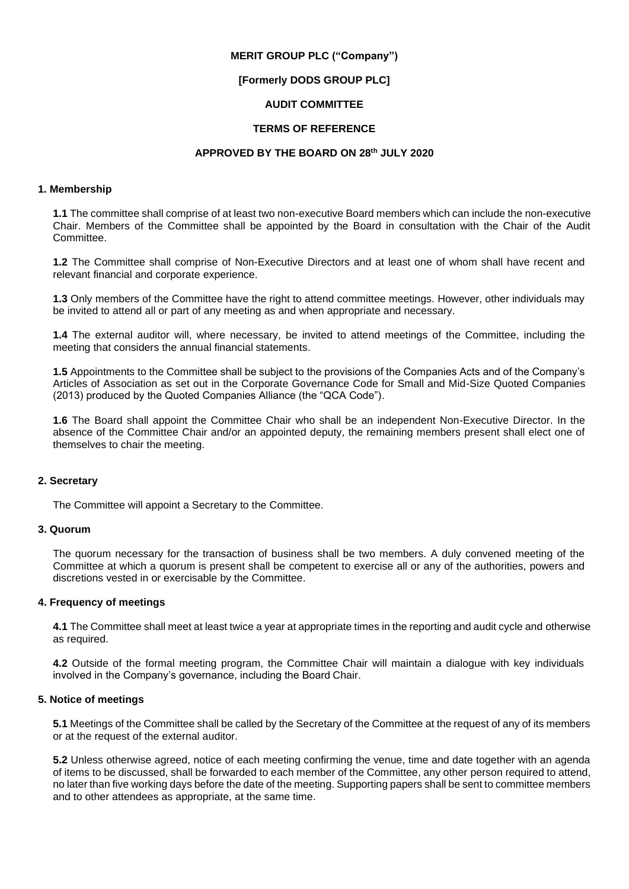## **MERIT GROUP PLC ("Company")**

# **[Formerly DODS GROUP PLC]**

# **AUDIT COMMITTEE**

# **TERMS OF REFERENCE**

## **APPROVED BY THE BOARD ON 28th JULY 2020**

## **1. Membership**

**1.1** The committee shall comprise of at least two non-executive Board members which can include the non-executive Chair. Members of the Committee shall be appointed by the Board in consultation with the Chair of the Audit Committee.

**1.2** The Committee shall comprise of Non-Executive Directors and at least one of whom shall have recent and relevant financial and corporate experience.

**1.3** Only members of the Committee have the right to attend committee meetings. However, other individuals may be invited to attend all or part of any meeting as and when appropriate and necessary.

**1.4** The external auditor will, where necessary, be invited to attend meetings of the Committee, including the meeting that considers the annual financial statements.

**1.5** Appointments to the Committee shall be subject to the provisions of the Companies Acts and of the Company's Articles of Association as set out in the Corporate Governance Code for Small and Mid-Size Quoted Companies (2013) produced by the Quoted Companies Alliance (the "QCA Code").

**1.6** The Board shall appoint the Committee Chair who shall be an independent Non-Executive Director. In the absence of the Committee Chair and/or an appointed deputy, the remaining members present shall elect one of themselves to chair the meeting.

# **2. Secretary**

The Committee will appoint a Secretary to the Committee.

### **3. Quorum**

The quorum necessary for the transaction of business shall be two members. A duly convened meeting of the Committee at which a quorum is present shall be competent to exercise all or any of the authorities, powers and discretions vested in or exercisable by the Committee.

# **4. Frequency of meetings**

**4.1** The Committee shall meet at least twice a year at appropriate times in the reporting and audit cycle and otherwise as required.

**4.2** Outside of the formal meeting program, the Committee Chair will maintain a dialogue with key individuals involved in the Company's governance, including the Board Chair.

### **5. Notice of meetings**

**5.1** Meetings of the Committee shall be called by the Secretary of the Committee at the request of any of its members or at the request of the external auditor.

**5.2** Unless otherwise agreed, notice of each meeting confirming the venue, time and date together with an agenda of items to be discussed, shall be forwarded to each member of the Committee, any other person required to attend, no later than five working days before the date of the meeting. Supporting papers shall be sent to committee members and to other attendees as appropriate, at the same time.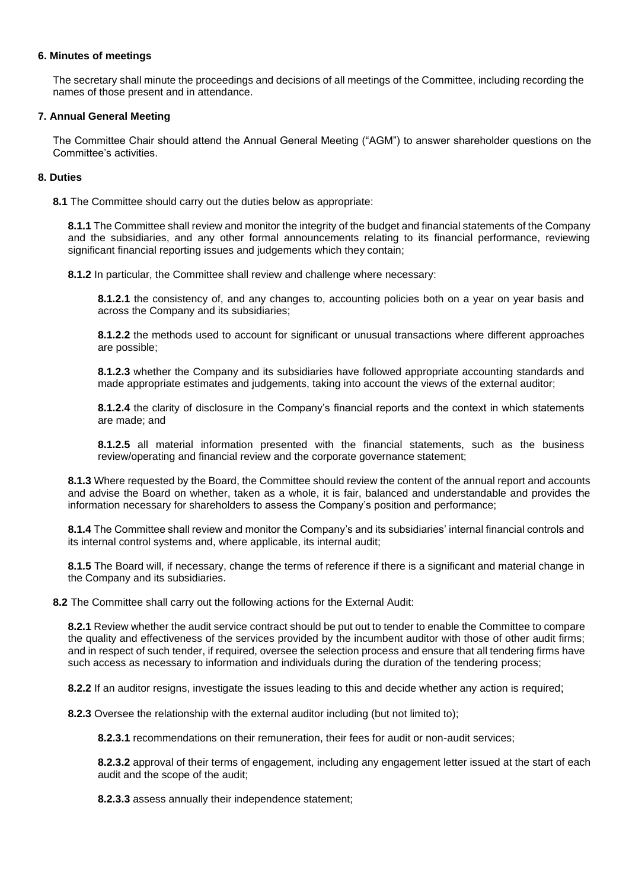### **6. Minutes of meetings**

The secretary shall minute the proceedings and decisions of all meetings of the Committee, including recording the names of those present and in attendance.

### **7. Annual General Meeting**

The Committee Chair should attend the Annual General Meeting ("AGM") to answer shareholder questions on the Committee's activities.

### **8. Duties**

**8.1** The Committee should carry out the duties below as appropriate:

**8.1.1** The Committee shall review and monitor the integrity of the budget and financial statements of the Company and the subsidiaries, and any other formal announcements relating to its financial performance, reviewing significant financial reporting issues and judgements which they contain;

**8.1.2** In particular, the Committee shall review and challenge where necessary:

**8.1.2.1** the consistency of, and any changes to, accounting policies both on a year on year basis and across the Company and its subsidiaries;

**8.1.2.2** the methods used to account for significant or unusual transactions where different approaches are possible;

**8.1.2.3** whether the Company and its subsidiaries have followed appropriate accounting standards and made appropriate estimates and judgements, taking into account the views of the external auditor;

**8.1.2.4** the clarity of disclosure in the Company's financial reports and the context in which statements are made; and

**8.1.2.5** all material information presented with the financial statements, such as the business review/operating and financial review and the corporate governance statement;

**8.1.3** Where requested by the Board, the Committee should review the content of the annual report and accounts and advise the Board on whether, taken as a whole, it is fair, balanced and understandable and provides the information necessary for shareholders to assess the Company's position and performance;

**8.1.4** The Committee shall review and monitor the Company's and its subsidiaries' internal financial controls and its internal control systems and, where applicable, its internal audit;

**8.1.5** The Board will, if necessary, change the terms of reference if there is a significant and material change in the Company and its subsidiaries.

**8.2** The Committee shall carry out the following actions for the External Audit:

**8.2.1** Review whether the audit service contract should be put out to tender to enable the Committee to compare the quality and effectiveness of the services provided by the incumbent auditor with those of other audit firms; and in respect of such tender, if required, oversee the selection process and ensure that all tendering firms have such access as necessary to information and individuals during the duration of the tendering process;

**8.2.2** If an auditor resigns, investigate the issues leading to this and decide whether any action is required;

**8.2.3** Oversee the relationship with the external auditor including (but not limited to);

**8.2.3.1** recommendations on their remuneration, their fees for audit or non-audit services;

**8.2.3.2** approval of their terms of engagement, including any engagement letter issued at the start of each audit and the scope of the audit;

**8.2.3.3** assess annually their independence statement;